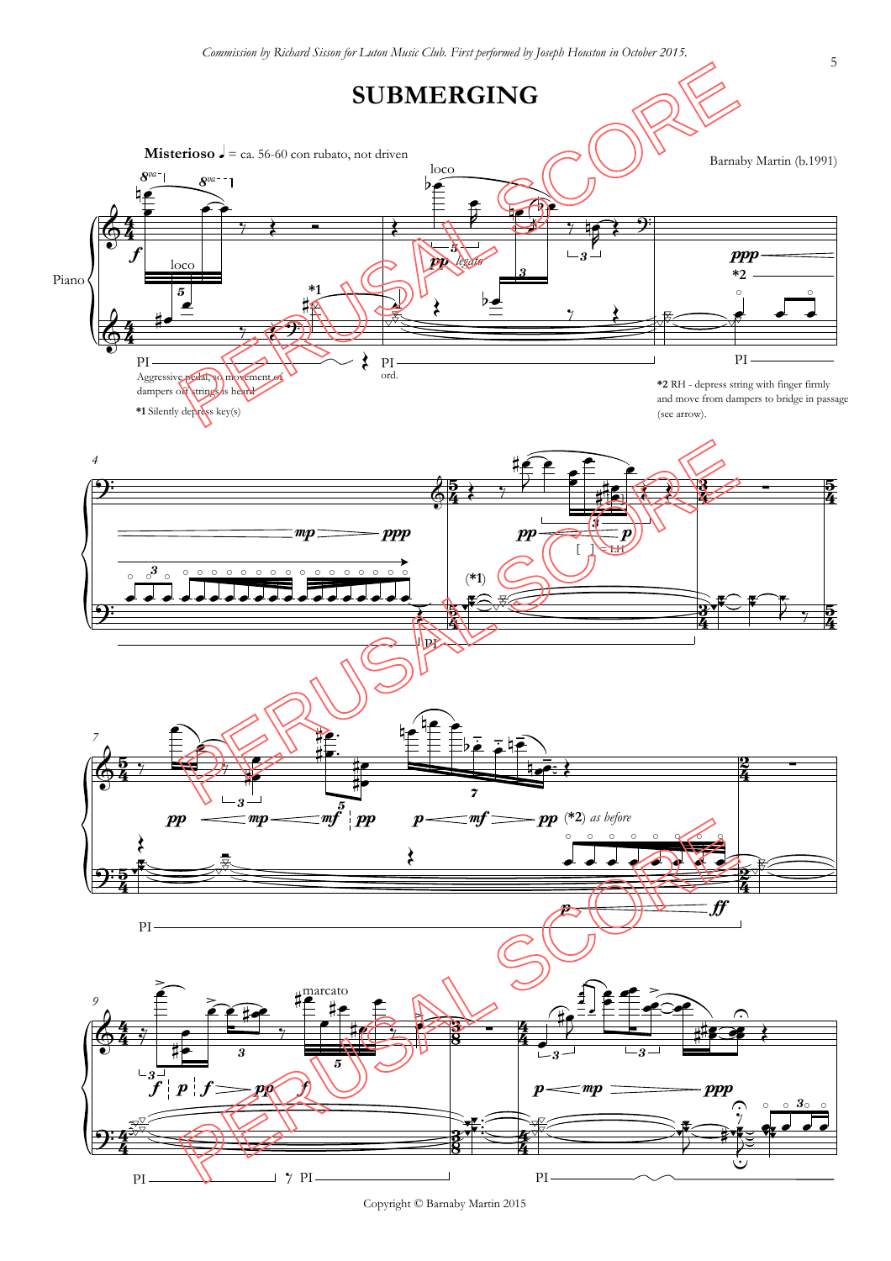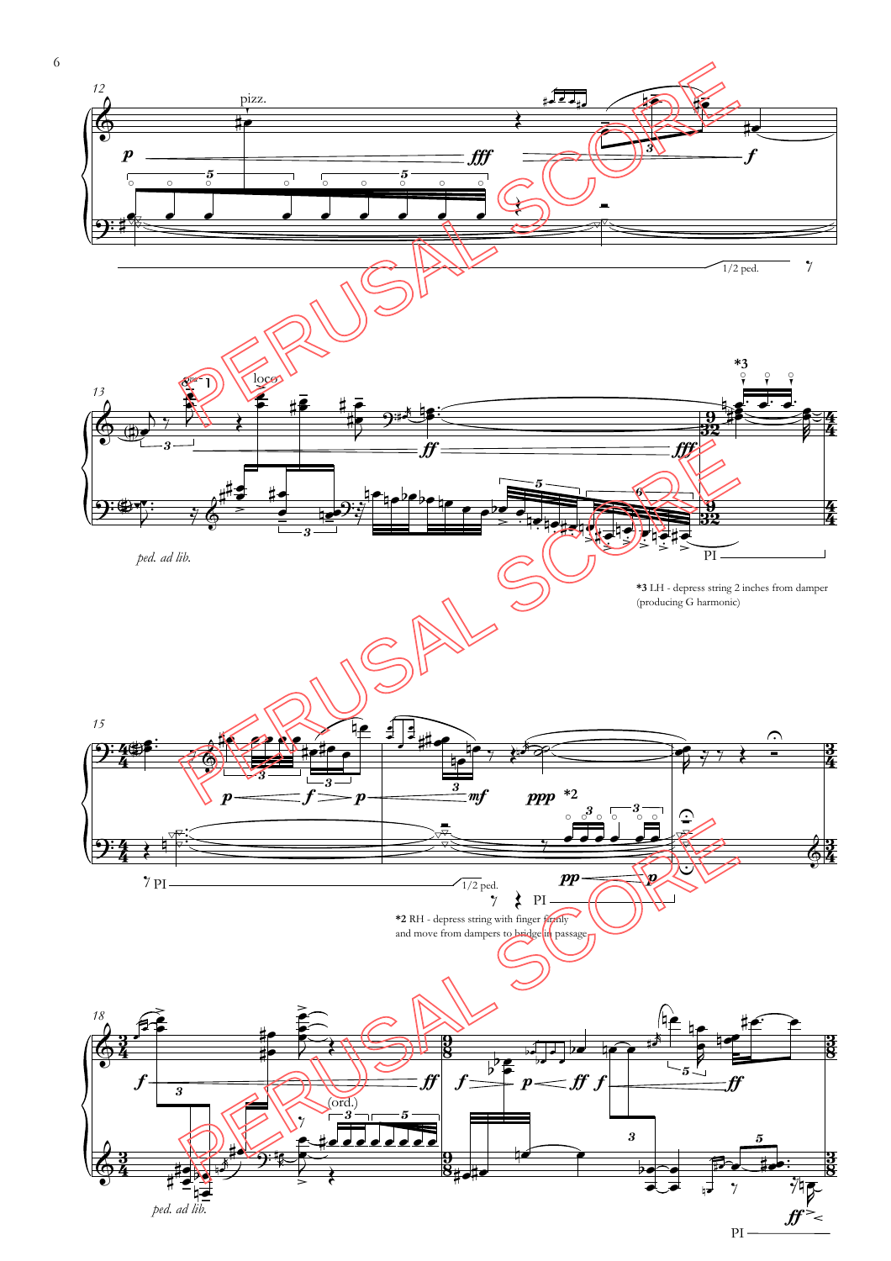

6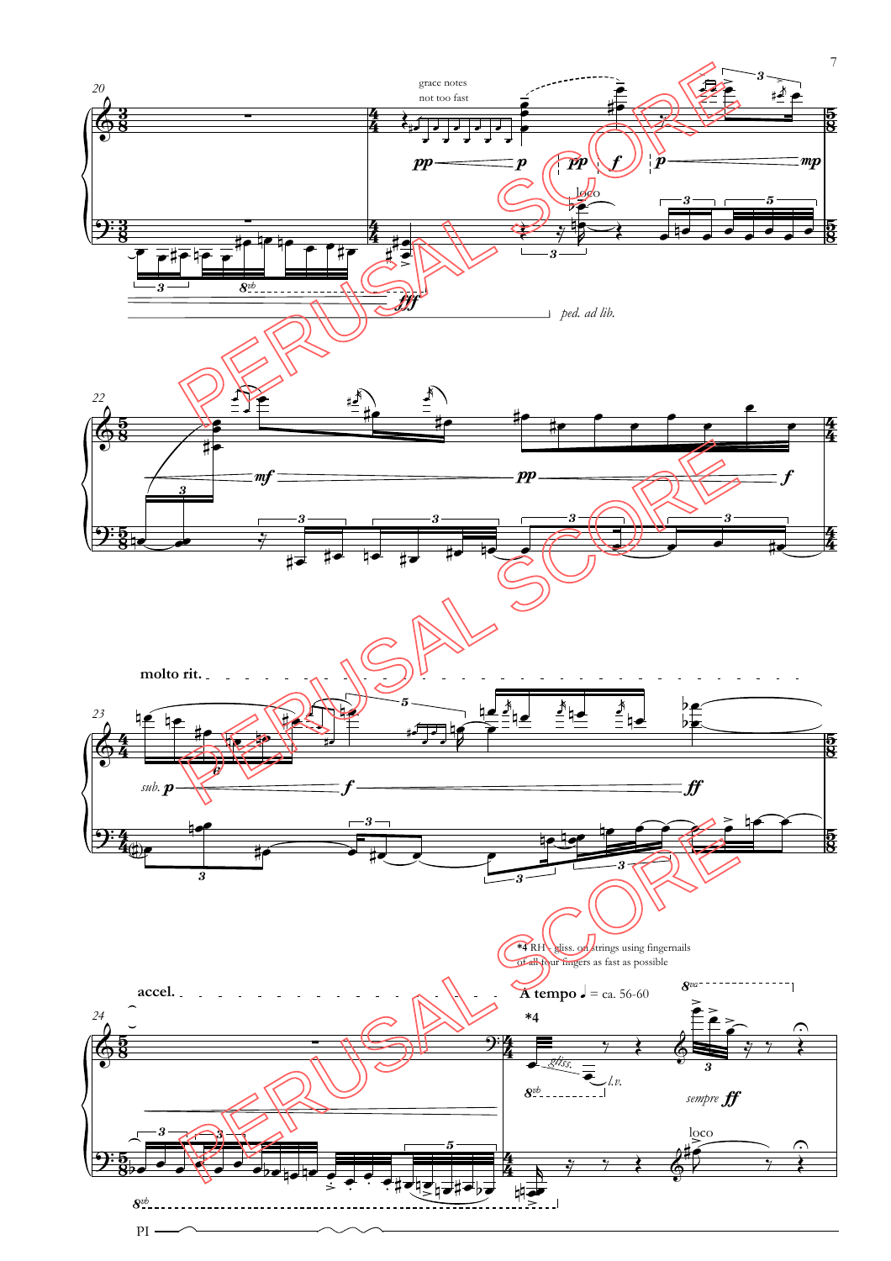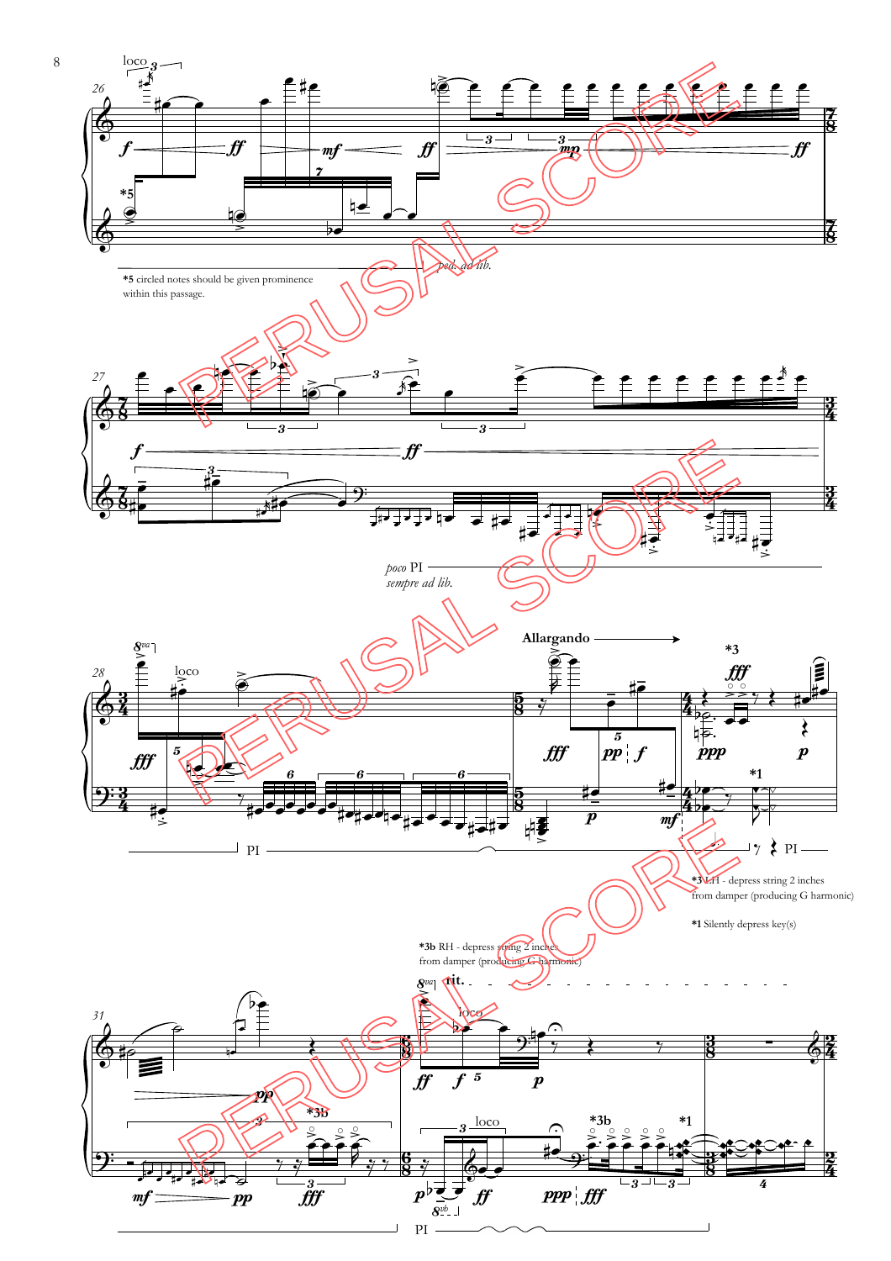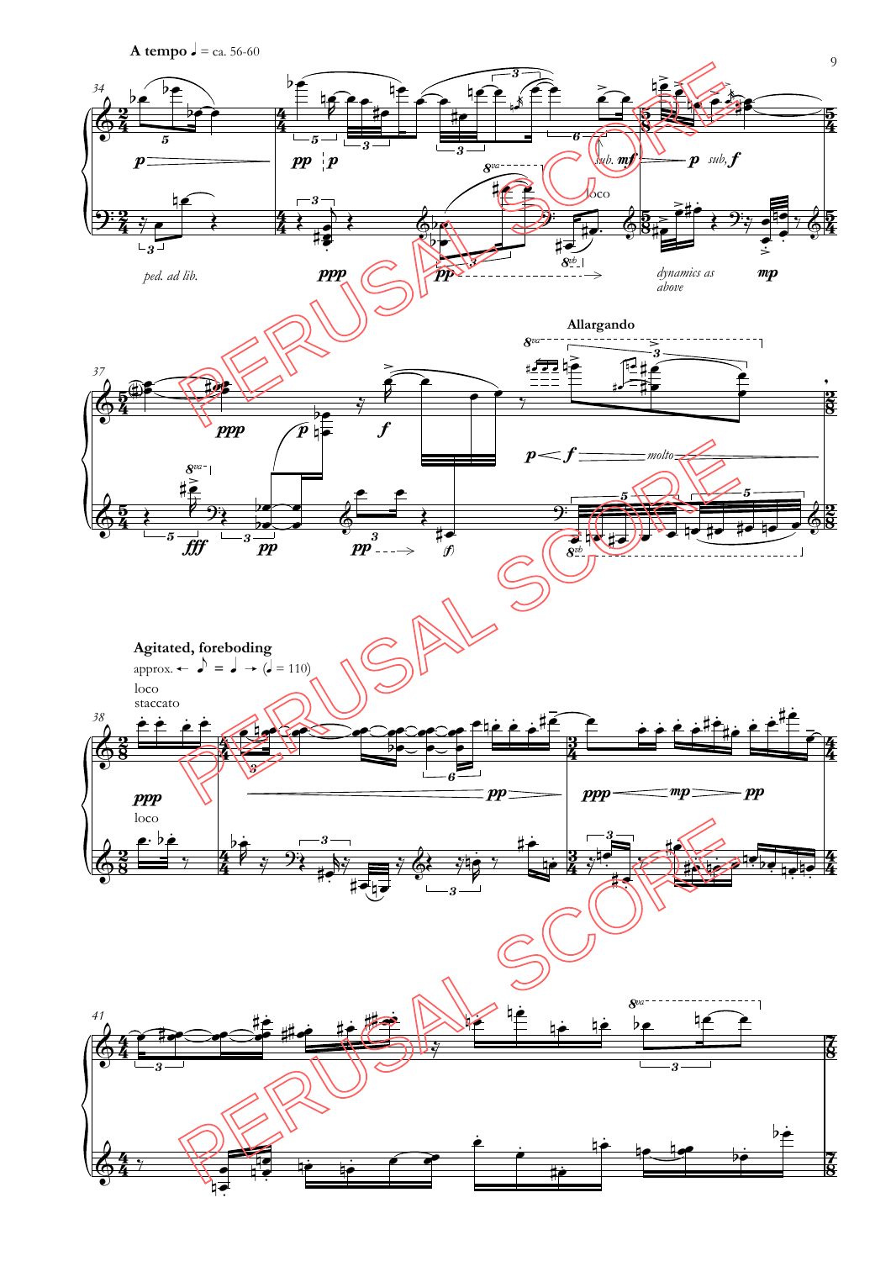**A tempo**  $\sqrt{ }$  = ca. 56-60

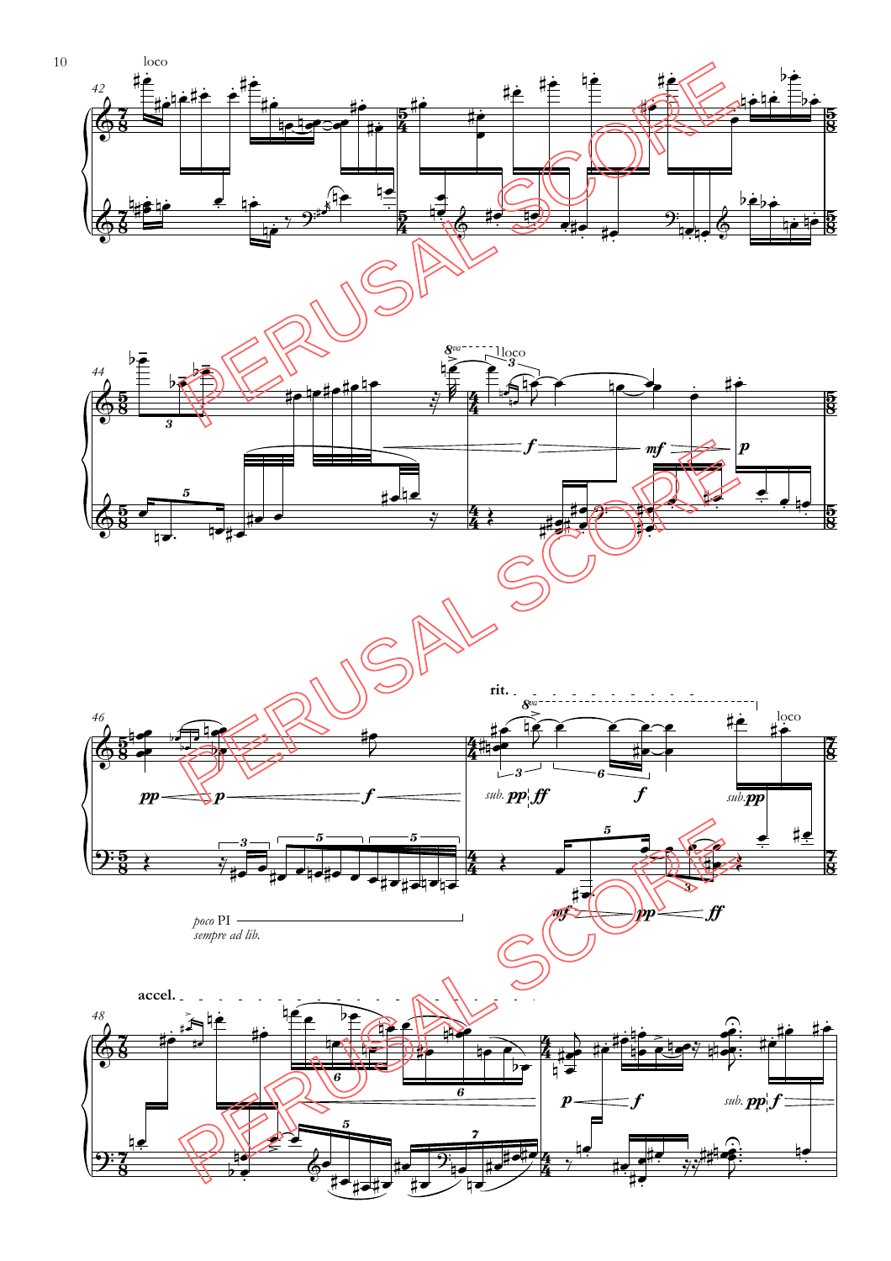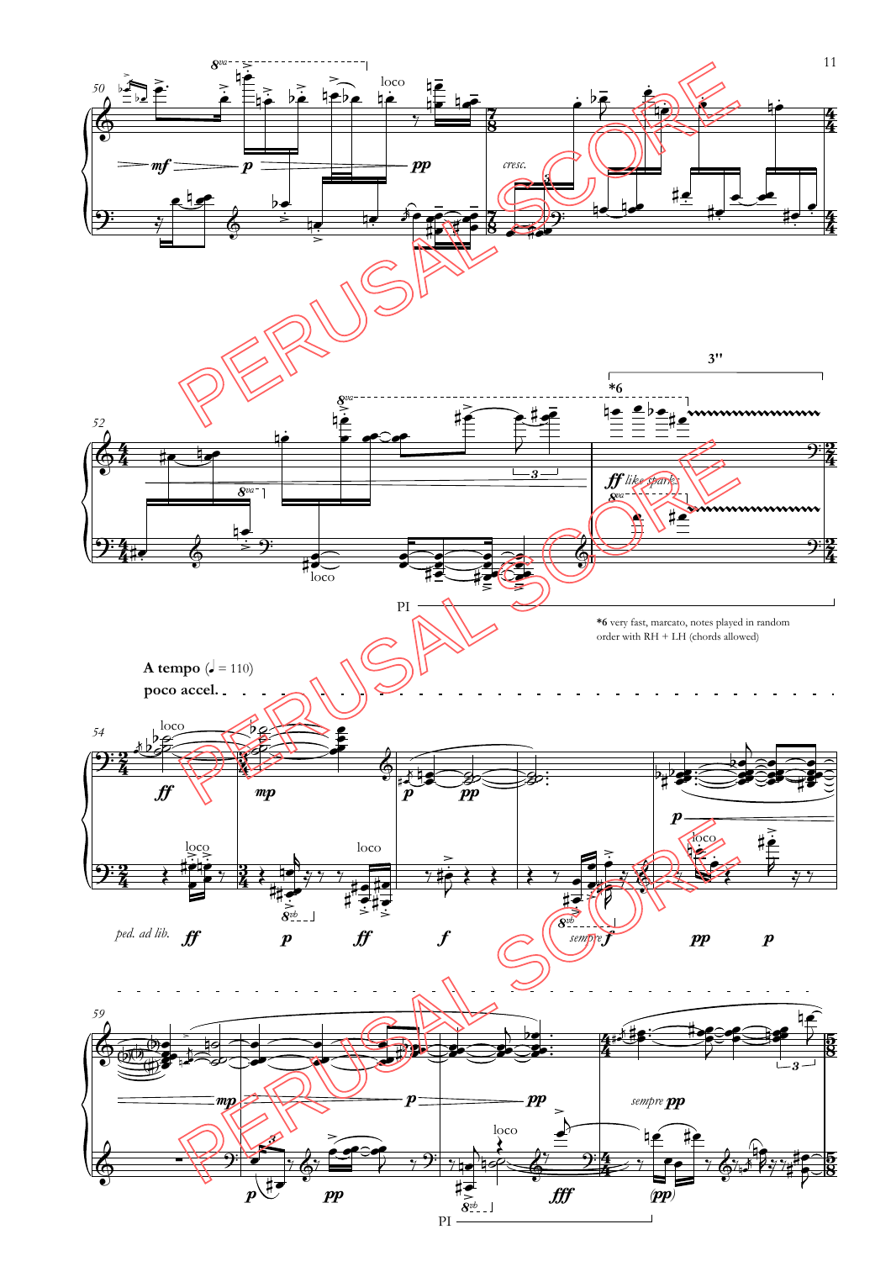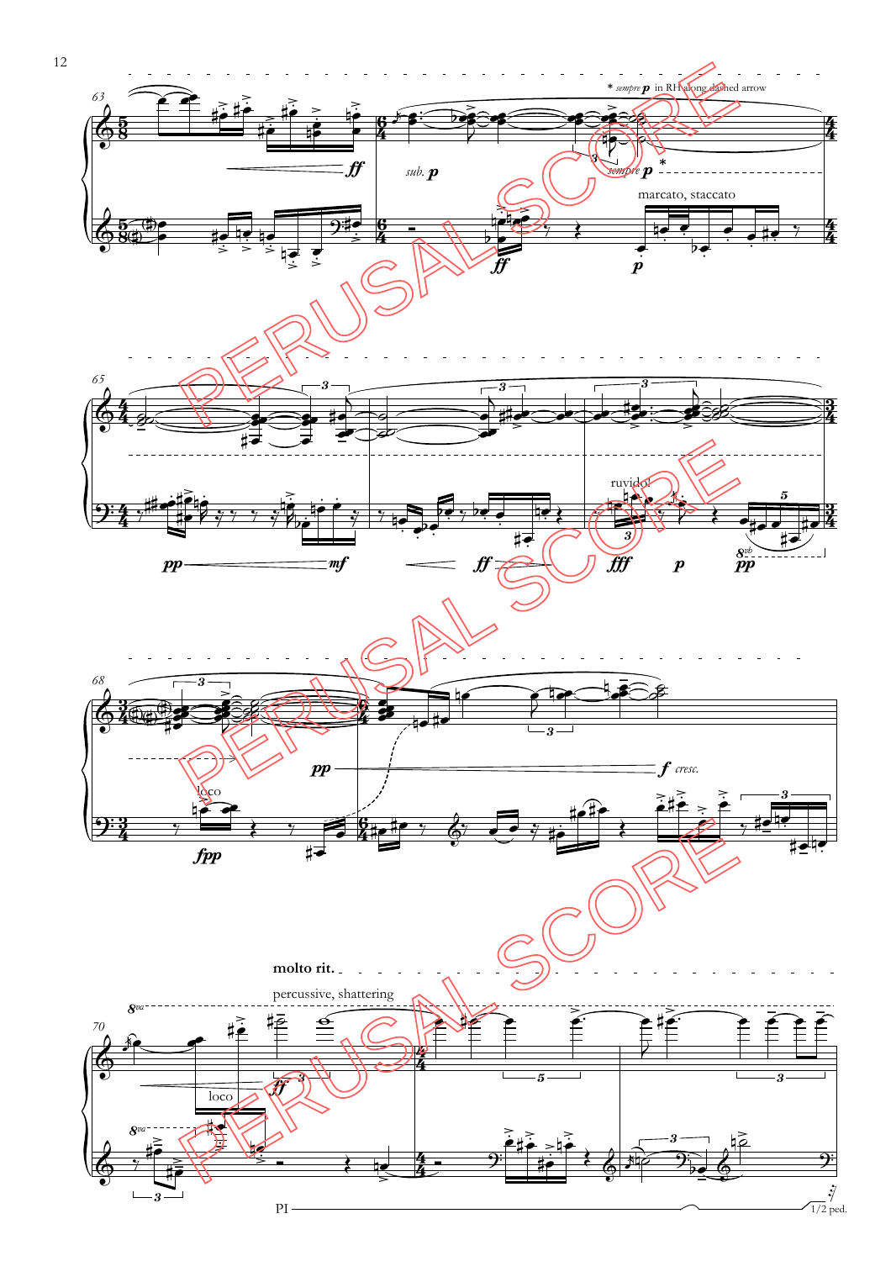

12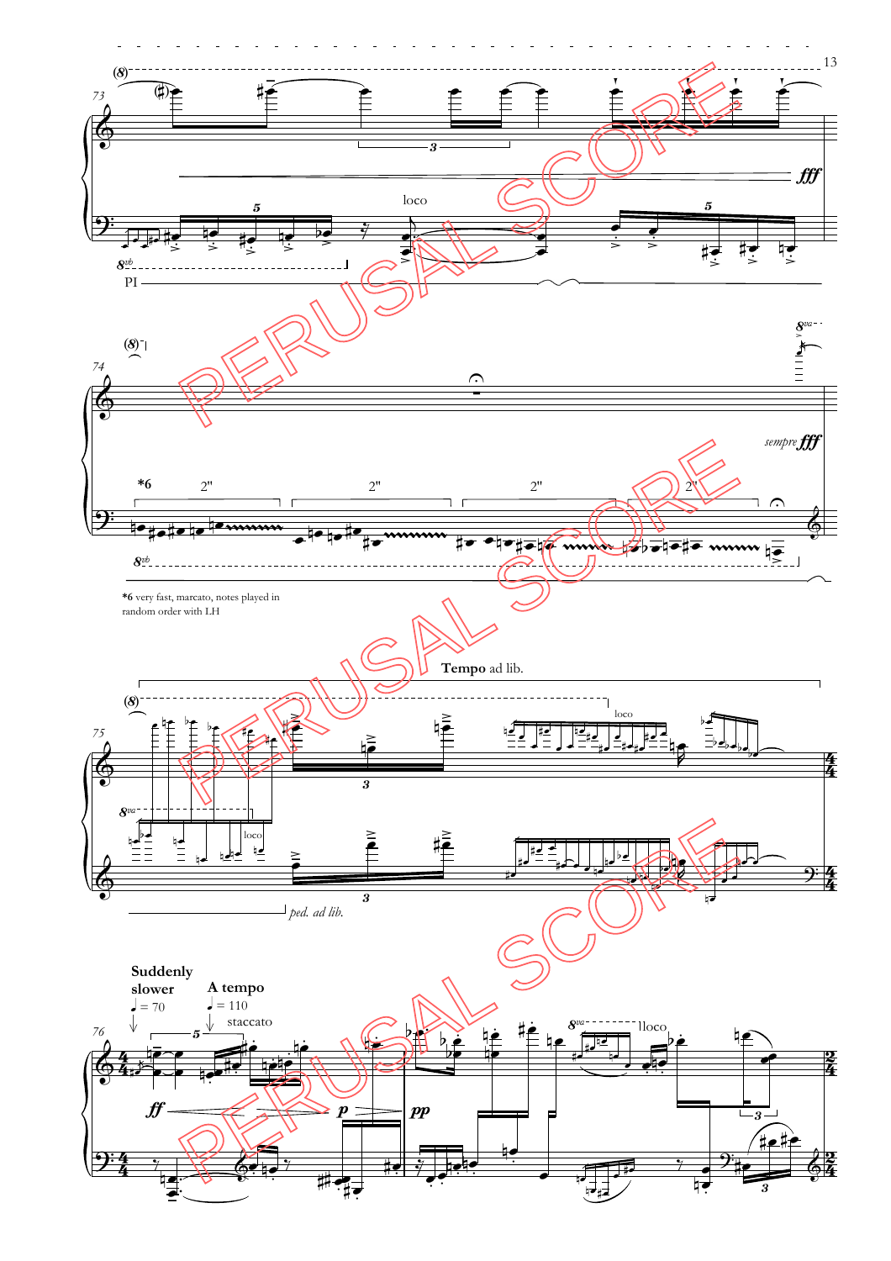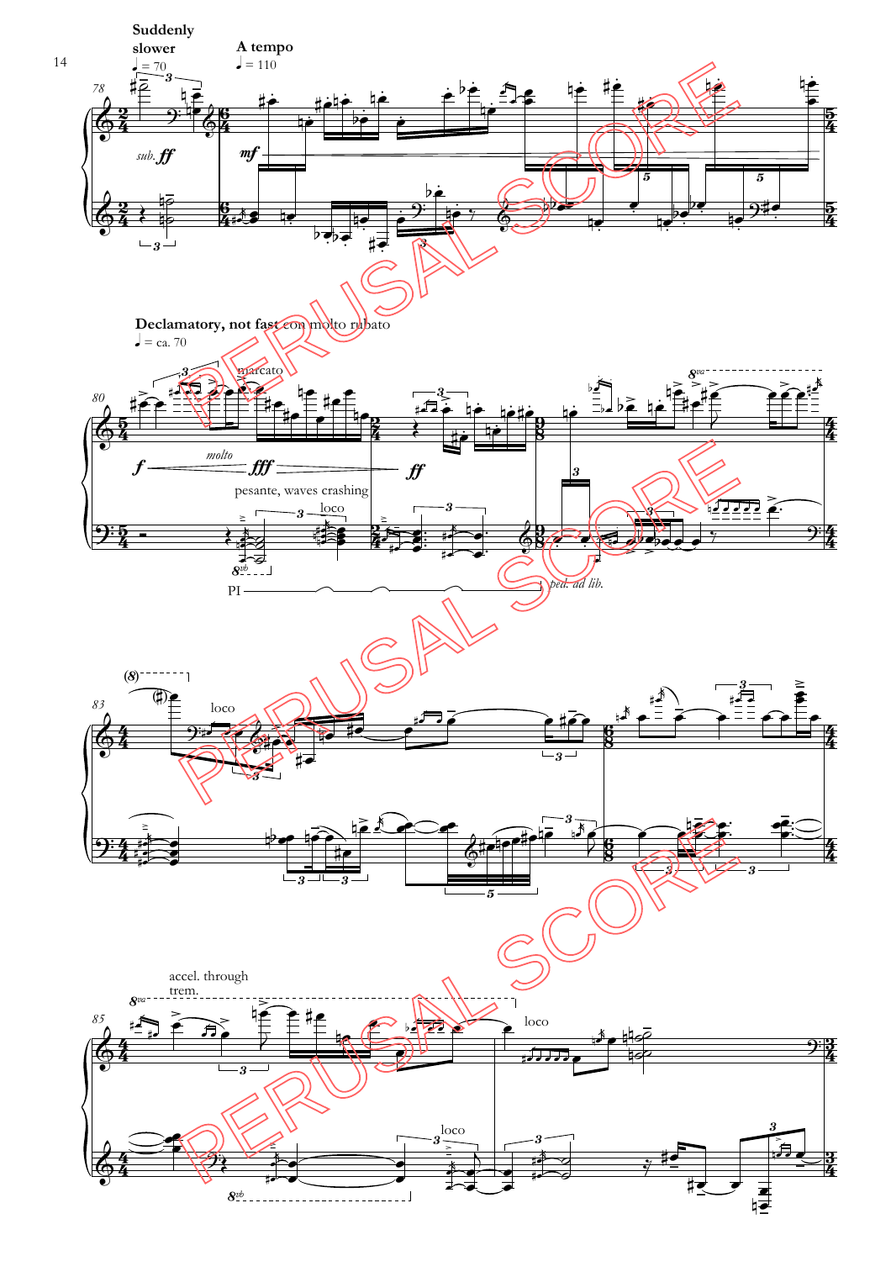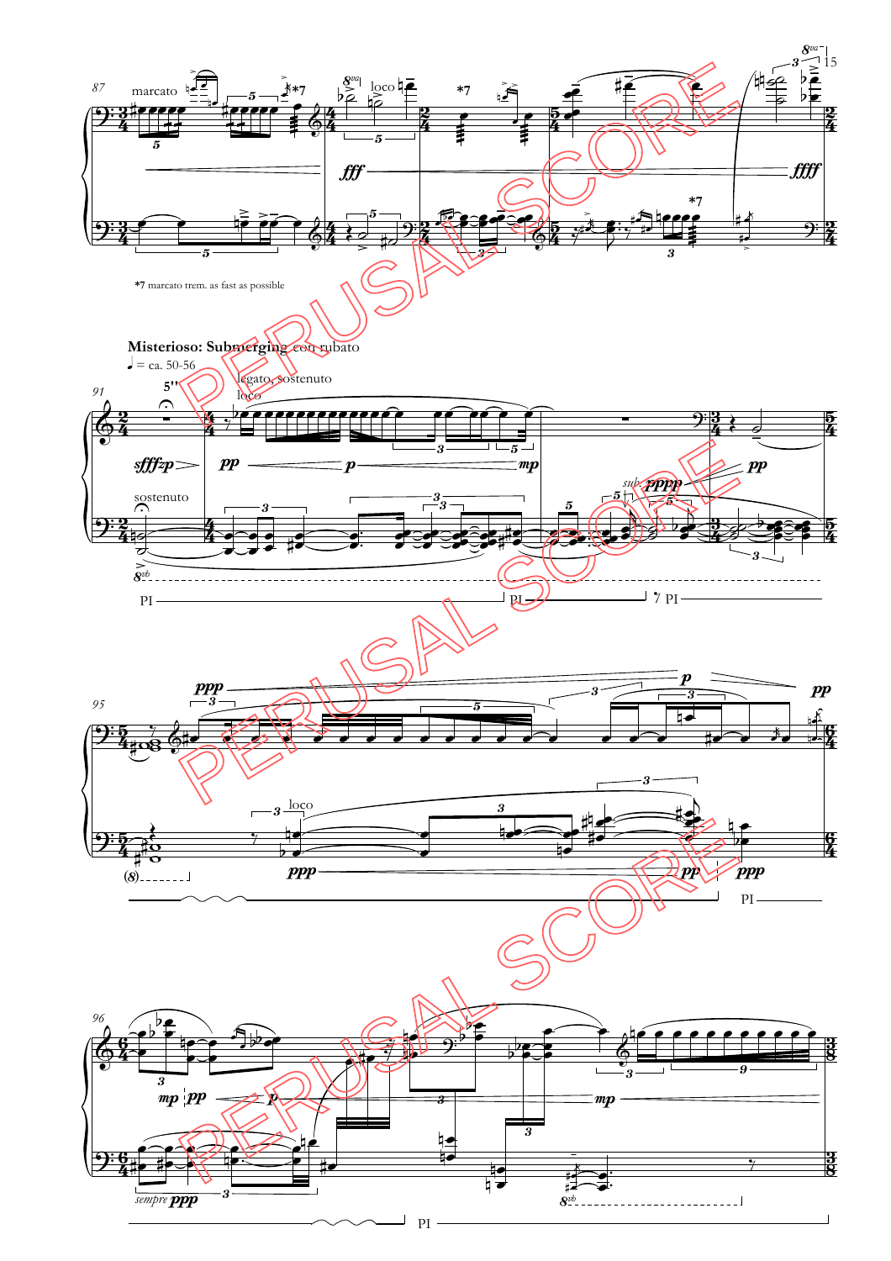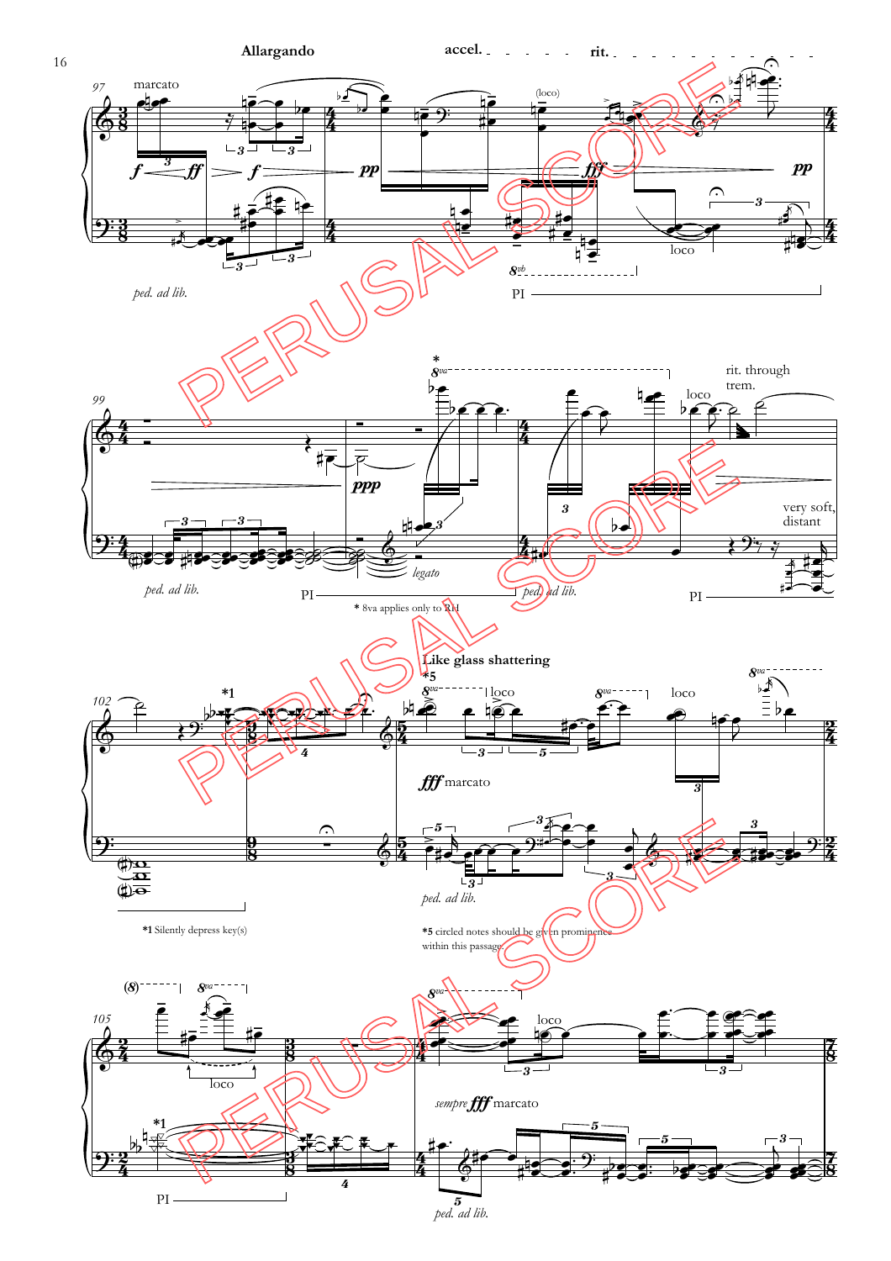